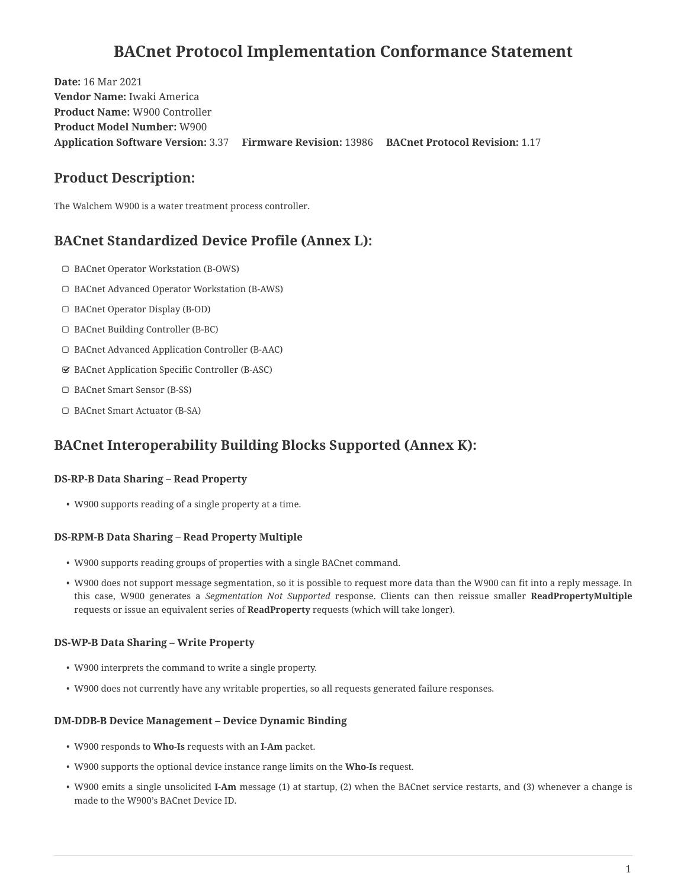# **BACnet Protocol Implementation Conformance Statement**

**Date:** 16 Mar 2021 **Vendor Name:** Iwaki America **Product Name:** W900 Controller **Product Model Number:** W900 **Application Software Version:** 3.37 **Firmware Revision:** 13986 **BACnet Protocol Revision:** 1.17

## **Product Description:**

The Walchem W900 is a water treatment process controller.

## **BACnet Standardized Device Profile (Annex L):**

- ☐ BACnet Operator Workstation (B-OWS)
- ☐ BACnet Advanced Operator Workstation (B-AWS)
- ☐ BACnet Operator Display (B-OD)
- ☐ BACnet Building Controller (B-BC)
- ☐ BACnet Advanced Application Controller (B-AAC)
- ☑ BACnet Application Specific Controller (B-ASC)
- ☐ BACnet Smart Sensor (B-SS)
- ☐ BACnet Smart Actuator (B-SA)

## **BACnet Interoperability Building Blocks Supported (Annex K):**

### **DS-RP-B Data Sharing – Read Property**

• W900 supports reading of a single property at a time.

### **DS-RPM-B Data Sharing – Read Property Multiple**

- W900 supports reading groups of properties with a single BACnet command.
- W900 does not support message segmentation, so it is possible to request more data than the W900 can fit into a reply message. In this case, W900 generates a *Segmentation Not Supported* response. Clients can then reissue smaller **ReadPropertyMultiple** requests or issue an equivalent series of **ReadProperty** requests (which will take longer).

### **DS-WP-B Data Sharing – Write Property**

- W900 interprets the command to write a single property.
- W900 does not currently have any writable properties, so all requests generated failure responses.

### **DM-DDB-B Device Management – Device Dynamic Binding**

- W900 responds to **Who-Is** requests with an **I-Am** packet.
- W900 supports the optional device instance range limits on the **Who-Is** request.
- W900 emits a single unsolicited **I-Am** message (1) at startup, (2) when the BACnet service restarts, and (3) whenever a change is made to the W900's BACnet Device ID.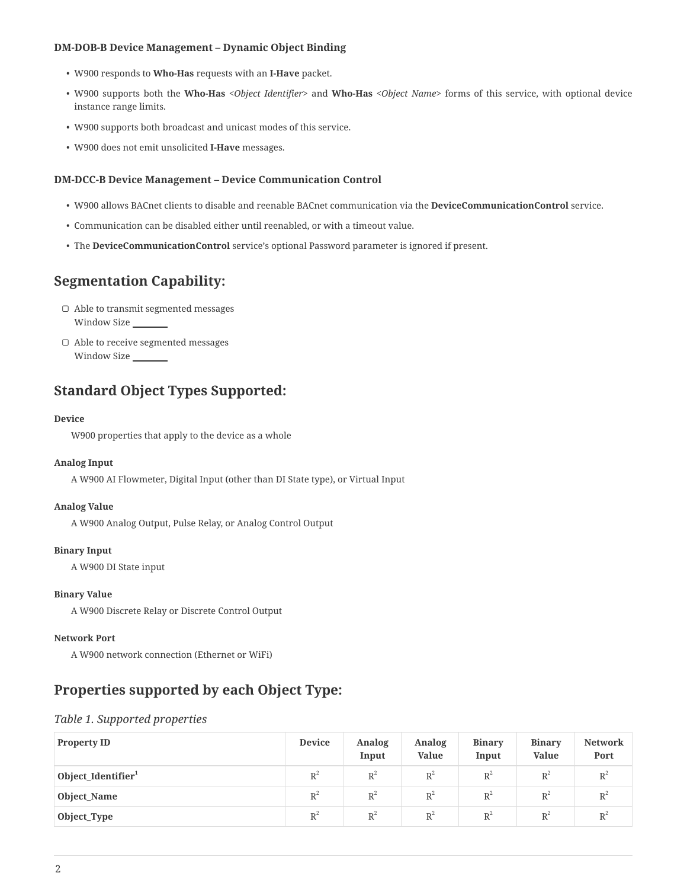#### **DM-DOB-B Device Management – Dynamic Object Binding**

- W900 responds to **Who-Has** requests with an **I-Have** packet.
- W900 supports both the **Who-Has** *<Object Identifier>* and **Who-Has** *<Object Name>* forms of this service, with optional device instance range limits.
- W900 supports both broadcast and unicast modes of this service.
- W900 does not emit unsolicited **I-Have** messages.

#### **DM-DCC-B Device Management – Device Communication Control**

- W900 allows BACnet clients to disable and reenable BACnet communication via the **DeviceCommunicationControl** service.
- Communication can be disabled either until reenabled, or with a timeout value.
- The **DeviceCommunicationControl** service's optional Password parameter is ignored if present.

## **Segmentation Capability:**

- ☐ Able to transmit segmented messages Window Size
- ☐ Able to receive segmented messages Window Size

## **Standard Object Types Supported:**

#### **Device**

W900 properties that apply to the device as a whole

#### **Analog Input**

A W900 AI Flowmeter, Digital Input (other than DI State type), or Virtual Input

#### **Analog Value**

A W900 Analog Output, Pulse Relay, or Analog Control Output

#### **Binary Input**

A W900 DI State input

#### **Binary Value**

A W900 Discrete Relay or Discrete Control Output

#### **Network Port**

A W900 network connection (Ethernet or WiFi)

## **Properties supported by each Object Type:**

#### *Table 1. Supported properties*

| <b>Property ID</b>             | <b>Device</b> | <b>Analog</b><br>Input | <b>Analog</b><br><b>Value</b> | <b>Binary</b><br>Input | <b>Binary</b><br><b>Value</b> | <b>Network</b><br>Port |
|--------------------------------|---------------|------------------------|-------------------------------|------------------------|-------------------------------|------------------------|
| Object_Identifier <sup>1</sup> | $R^2$         | $R^2$                  | $R^2$                         | $R^2$                  | $R^2$                         | $R^2$                  |
| Object_Name                    | $R^2$         | $R^2$                  | $R^2$                         | $R^2$                  | $R^2$                         | $R^2$                  |
| Object_Type                    | $R^2$         | $R^2$                  | $R^2$                         | $R^2$                  | $R^2$                         | $R^2$                  |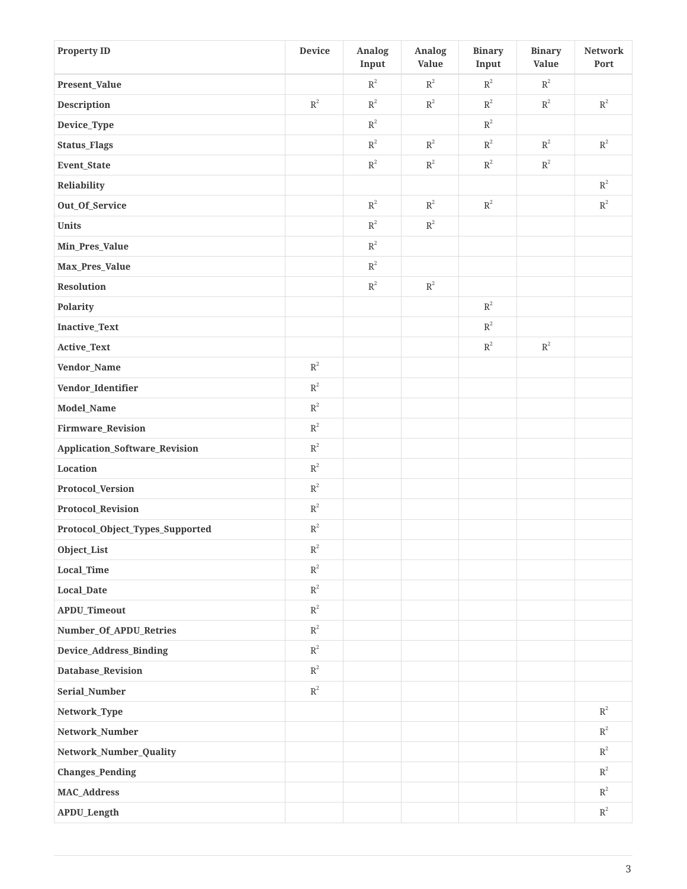| <b>Property ID</b>                   | <b>Device</b>  | <b>Analog</b><br>Input | <b>Analog</b><br><b>Value</b> | <b>Binary</b><br>Input | <b>Binary</b><br><b>Value</b> | <b>Network</b><br>Port |
|--------------------------------------|----------------|------------------------|-------------------------------|------------------------|-------------------------------|------------------------|
| Present_Value                        |                | $\mbox{R}^2$           | $\mathbb{R}^2$                | $\mbox{R}^2$           | $\mathbb{R}^2$                |                        |
| <b>Description</b>                   | $\mathbb{R}^2$ | $\mbox{R}^2$           | $\mathbb{R}^2$                | $\mbox{R}^2$           | $\mathbb{R}^2$                | $\mbox{R}^2$           |
| Device_Type                          |                | $\mbox{R}^2$           |                               | $\mbox{R}^2$           |                               |                        |
| <b>Status_Flags</b>                  |                | $\mbox{R}^2$           | $\mbox{R}^2$                  | $\mbox{R}^2$           | $\mbox{R}^2$                  | $\mbox{R}^2$           |
| Event_State                          |                | $\mbox{R}^2$           | $\mbox{R}^2$                  | $\mbox{R}^2$           | $\mbox{R}^2$                  |                        |
| Reliability                          |                |                        |                               |                        |                               | $\mbox{R}^2$           |
| Out_Of_Service                       |                | $\mbox{R}^2$           | $\mathbb{R}^2$                | $\mbox{R}^2$           |                               | $\mathbb{R}^2$         |
| Units                                |                | $\mbox{R}^2$           | $\mbox{R}^2$                  |                        |                               |                        |
| Min_Pres_Value                       |                | $\mbox{R}^2$           |                               |                        |                               |                        |
| Max_Pres_Value                       |                | $\mbox{R}^2$           |                               |                        |                               |                        |
| <b>Resolution</b>                    |                | $\mbox{R}^2$           | $\mathbb{R}^2$                |                        |                               |                        |
| Polarity                             |                |                        |                               | $\mathbb{R}^2$         |                               |                        |
| Inactive_Text                        |                |                        |                               | $\mathbb{R}^2$         |                               |                        |
| Active_Text                          |                |                        |                               | $\mbox{R}^2$           | $\mathbb{R}^2$                |                        |
| Vendor_Name                          | $\mbox{R}^2$   |                        |                               |                        |                               |                        |
| Vendor_Identifier                    | $\mathbb{R}^2$ |                        |                               |                        |                               |                        |
| Model_Name                           | $\mbox{R}^2$   |                        |                               |                        |                               |                        |
| Firmware_Revision                    | $\mathbb{R}^2$ |                        |                               |                        |                               |                        |
| <b>Application_Software_Revision</b> | $\mbox{R}^2$   |                        |                               |                        |                               |                        |
| Location                             | $\mbox{R}^2$   |                        |                               |                        |                               |                        |
| Protocol_Version                     | $\mbox{R}^2$   |                        |                               |                        |                               |                        |
| Protocol_Revision                    | $\mbox{R}^2$   |                        |                               |                        |                               |                        |
| Protocol_Object_Types_Supported      | $\mbox{R}^2$   |                        |                               |                        |                               |                        |
| Object_List                          | $\mbox{R}^2$   |                        |                               |                        |                               |                        |
| Local_Time                           | $\mathbb{R}^2$ |                        |                               |                        |                               |                        |
| <b>Local_Date</b>                    | $\mathbb{R}^2$ |                        |                               |                        |                               |                        |
| APDU_Timeout                         | $\mathbb{R}^2$ |                        |                               |                        |                               |                        |
| Number_Of_APDU_Retries               | $\mathbb{R}^2$ |                        |                               |                        |                               |                        |
| Device_Address_Binding               | $\mathbb{R}^2$ |                        |                               |                        |                               |                        |
| Database_Revision                    | $\mathbb{R}^2$ |                        |                               |                        |                               |                        |
| Serial_Number                        | $\mathbb{R}^2$ |                        |                               |                        |                               |                        |
| Network_Type                         |                |                        |                               |                        |                               | $\mathbb{R}^2$         |
| Network_Number                       |                |                        |                               |                        |                               | $\mathbb{R}^2$         |
| Network_Number_Quality               |                |                        |                               |                        |                               | $\mathbb{R}^2$         |
| <b>Changes_Pending</b>               |                |                        |                               |                        |                               | $\mbox{R}^2$           |
| <b>MAC_Address</b>                   |                |                        |                               |                        |                               | $\mbox{R}^2$           |
| APDU_Length                          |                |                        |                               |                        |                               | $\mbox{R}^2$           |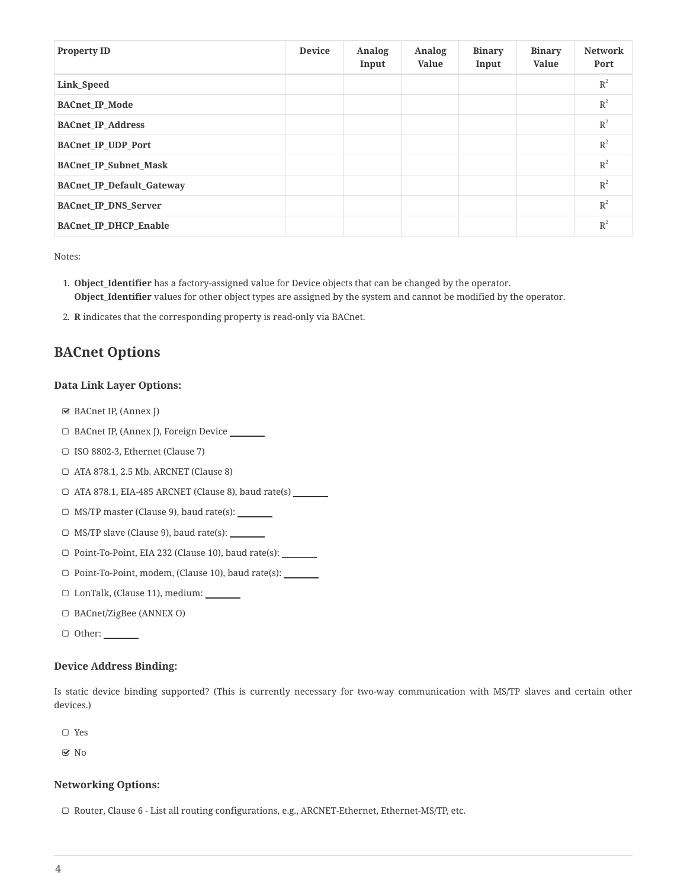| <b>Property ID</b>               | <b>Device</b> | <b>Analog</b><br>Input | <b>Analog</b><br><b>Value</b> | <b>Binary</b><br>Input | <b>Binary</b><br><b>Value</b> | <b>Network</b><br>Port |
|----------------------------------|---------------|------------------------|-------------------------------|------------------------|-------------------------------|------------------------|
| Link Speed                       |               |                        |                               |                        |                               | $R^2$                  |
| <b>BACnet IP Mode</b>            |               |                        |                               |                        |                               | $R^2$                  |
| <b>BACnet IP Address</b>         |               |                        |                               |                        |                               | $R^2$                  |
| <b>BACnet IP UDP Port</b>        |               |                        |                               |                        |                               | $R^2$                  |
| <b>BACnet IP Subnet Mask</b>     |               |                        |                               |                        |                               | $R^2$                  |
| <b>BACnet IP Default Gateway</b> |               |                        |                               |                        |                               | $R^2$                  |
| <b>BACnet IP DNS Server</b>      |               |                        |                               |                        |                               | $R^2$                  |
| <b>BACnet IP DHCP Enable</b>     |               |                        |                               |                        |                               | $R^2$                  |

Notes:

- 1. **Object\_Identifier** has a factory-assigned value for Device objects that can be changed by the operator. **Object\_Identifier** values for other object types are assigned by the system and cannot be modified by the operator.
- 2. **R** indicates that the corresponding property is read-only via BACnet.

## **BACnet Options**

### **Data Link Layer Options:**

- ☑ BACnet IP, (Annex J)
- ☐ BACnet IP, (Annex J), Foreign Device
- ☐ ISO 8802-3, Ethernet (Clause 7)
- ☐ ATA 878.1, 2.5 Mb. ARCNET (Clause 8)
- ☐ ATA 878.1, EIA-485 ARCNET (Clause 8), baud rate(s)
- ☐ MS/TP master (Clause 9), baud rate(s):
- $\Box$  MS/TP slave (Clause 9), baud rate(s):  $\Box$
- ☐ Point-To-Point, EIA 232 (Clause 10), baud rate(s):
- ☐ Point-To-Point, modem, (Clause 10), baud rate(s):
- ☐ LonTalk, (Clause 11), medium:
- ☐ BACnet/ZigBee (ANNEX O)
- □ Other: <u>\_\_\_\_\_</u>

### **Device Address Binding:**

Is static device binding supported? (This is currently necessary for two-way communication with MS/TP slaves and certain other devices.)

☐ Yes

☑ No

#### **Networking Options:**

☐ Router, Clause 6 - List all routing configurations, e.g., ARCNET-Ethernet, Ethernet-MS/TP, etc.